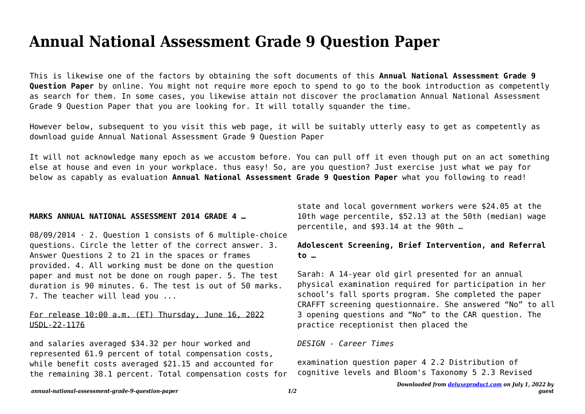# **Annual National Assessment Grade 9 Question Paper**

This is likewise one of the factors by obtaining the soft documents of this **Annual National Assessment Grade 9 Question Paper** by online. You might not require more epoch to spend to go to the book introduction as competently as search for them. In some cases, you likewise attain not discover the proclamation Annual National Assessment Grade 9 Question Paper that you are looking for. It will totally squander the time.

However below, subsequent to you visit this web page, it will be suitably utterly easy to get as competently as download guide Annual National Assessment Grade 9 Question Paper

It will not acknowledge many epoch as we accustom before. You can pull off it even though put on an act something else at house and even in your workplace. thus easy! So, are you question? Just exercise just what we pay for below as capably as evaluation **Annual National Assessment Grade 9 Question Paper** what you following to read!

#### **MARKS ANNUAL NATIONAL ASSESSMENT 2014 GRADE 4 …**

08/09/2014 · 2. Question 1 consists of 6 multiple-choice questions. Circle the letter of the correct answer. 3. Answer Questions 2 to 21 in the spaces or frames provided. 4. All working must be done on the question paper and must not be done on rough paper. 5. The test duration is 90 minutes. 6. The test is out of 50 marks. 7. The teacher will lead you ...

## For release 10:00 a.m. (ET) Thursday, June 16, 2022 USDL-22-1176

and salaries averaged \$34.32 per hour worked and represented 61.9 percent of total compensation costs, while benefit costs averaged \$21.15 and accounted for the remaining 38.1 percent. Total compensation costs for

state and local government workers were \$24.05 at the 10th wage percentile, \$52.13 at the 50th (median) wage percentile, and \$93.14 at the 90th …

## **Adolescent Screening, Brief Intervention, and Referral to …**

Sarah: A 14-year old girl presented for an annual physical examination required for participation in her school's fall sports program. She completed the paper CRAFFT screening questionnaire. She answered "No" to all 3 opening questions and "No" to the CAR question. The practice receptionist then placed the

### *DESIGN - Career Times*

examination question paper 4 2.2 Distribution of cognitive levels and Bloom's Taxonomy 5 2.3 Revised